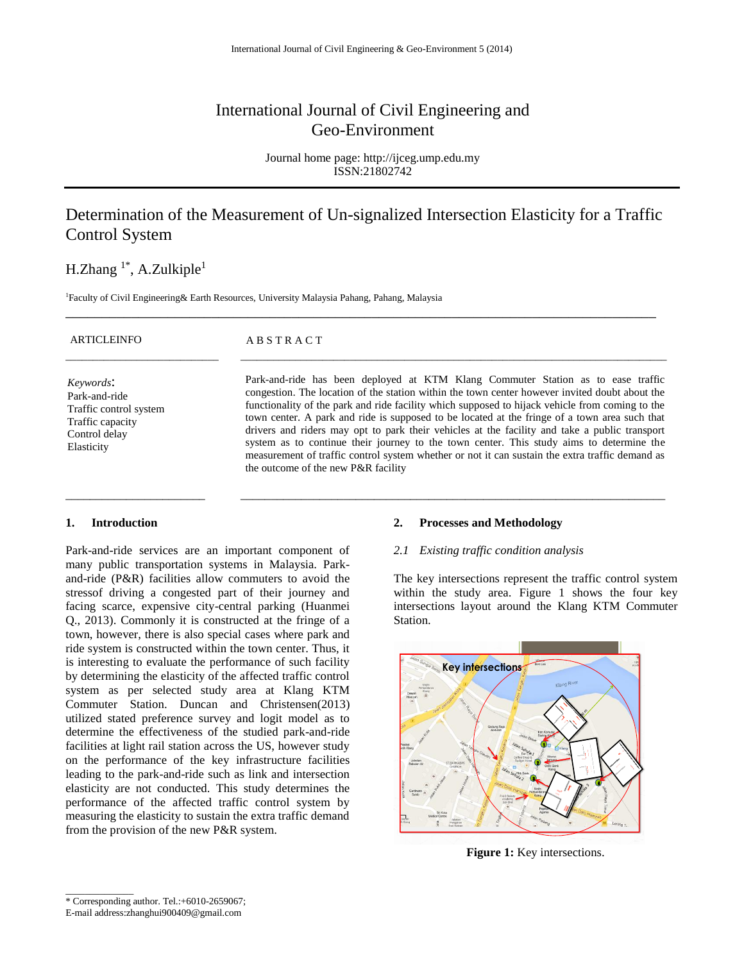# International Journal of Civil Engineering and Geo-Environment

Journal home page: http://ijceg.ump.edu.my ISSN:21802742

# Determination of the Measurement of Un-signalized Intersection Elasticity for a Traffic Control System

\_\_\_\_\_\_\_\_\_\_\_\_\_\_\_\_\_\_\_\_\_\_\_\_\_\_\_\_\_\_\_\_\_\_\_\_\_\_\_\_\_\_\_\_\_\_\_\_\_\_\_\_\_\_\_\_\_\_\_\_\_\_\_\_\_\_\_\_\_\_\_\_\_\_\_\_\_\_\_\_\_

## H.Zhang  $1^*$ , A.Zulkiple<sup>1</sup>

<sup>1</sup>Faculty of Civil Engineering& Earth Resources, University Malaysia Pahang, Pahang, Malaysia

| <b>ARTICLEINFO</b>                                                                                      | ABSTRACT                                                                                                                                                                                                                                                                                                                                                                                                                                                                                                                                                                                                                                                                                                                      |
|---------------------------------------------------------------------------------------------------------|-------------------------------------------------------------------------------------------------------------------------------------------------------------------------------------------------------------------------------------------------------------------------------------------------------------------------------------------------------------------------------------------------------------------------------------------------------------------------------------------------------------------------------------------------------------------------------------------------------------------------------------------------------------------------------------------------------------------------------|
| Keywords:<br>Park-and-ride<br>Traffic control system<br>Traffic capacity<br>Control delay<br>Elasticity | Park-and-ride has been deployed at KTM Klang Commuter Station as to ease traffic<br>congestion. The location of the station within the town center however invited doubt about the<br>functionality of the park and ride facility which supposed to hijack vehicle from coming to the<br>town center. A park and ride is supposed to be located at the fringe of a town area such that<br>drivers and riders may opt to park their vehicles at the facility and take a public transport<br>system as to continue their journey to the town center. This study aims to determine the<br>measurement of traffic control system whether or not it can sustain the extra traffic demand as<br>the outcome of the new P&R facility |

\_\_\_\_\_\_\_\_\_\_\_\_\_\_\_\_\_\_\_\_\_\_\_ \_\_\_\_\_\_\_\_\_\_\_\_\_\_\_\_\_\_\_\_\_\_\_\_\_\_\_\_\_\_\_\_\_\_\_\_\_\_\_\_\_\_\_\_\_\_\_\_\_\_\_\_\_\_\_\_\_\_\_\_\_\_\_\_\_\_\_\_\_\_

### **1. Introduction**

Park-and-ride services are an important component of many public transportation systems in Malaysia. Parkand-ride (P&R) facilities allow commuters to avoid the [stresso](http://en.wikipedia.org/wiki/Stress_(medicine))f driving a congested part of their journey and facing scarce, expensive city-central parking (Huanmei Q., 2013). Commonly it is constructed at the fringe of a town, however, there is also special cases where park and ride system is constructed within the town center. Thus, it is interesting to evaluate the performance of such facility by determining the elasticity of the affected traffic control system as per selected study area at Klang KTM Commuter Station. Duncan and Christensen(2013) utilized stated preference survey and logit model as to determine the effectiveness of the studied park-and-ride facilities at light rail station across the US, however study on the performance of the key infrastructure facilities leading to the park-and-ride such as link and intersection elasticity are not conducted. This study determines the performance of the affected traffic control system by measuring the elasticity to sustain the extra traffic demand from the provision of the new P&R system.

#### **2. Processes and Methodology**

#### *2.1 Existing traffic condition analysis*

The key intersections represent the traffic control system within the study area. Figure 1 shows the four key intersections layout around the Klang KTM Commuter Station.



**Figure 1:** Key intersections.

\_\_\_\_\_\_\_\_\_\_\_\_\_\_

<sup>\*</sup> Corresponding author. Tel.:+6010-2659067;

E-mail address:zhanghui900409@gmail.com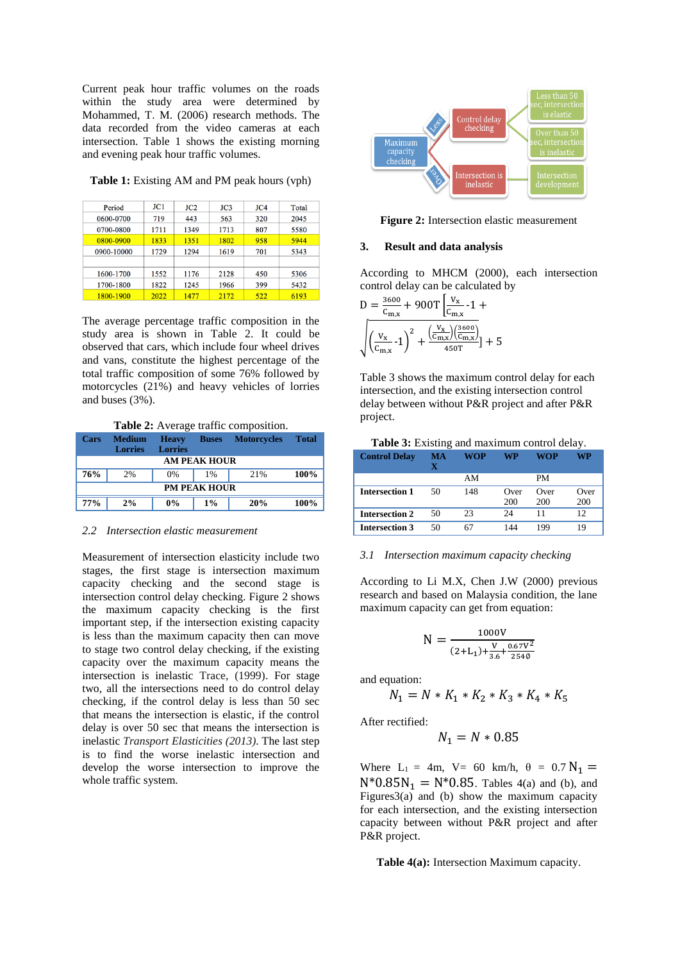Current peak hour traffic volumes on the roads within the study area were determined by Mohammed, T. M. (2006) research methods. The data recorded from the video cameras at each intersection. Table 1 shows the existing morning and evening peak hour traffic volumes.

### **Table 1:** Existing AM and PM peak hours (vph)

| Period     | JC1  | JC2  | JC3  | JC4 | Total |
|------------|------|------|------|-----|-------|
| 0600-0700  | 719  | 443  | 563  | 320 | 2045  |
| 0700-0800  | 1711 | 1349 | 1713 | 807 | 5580  |
| 0800-0900  | 1833 | 1351 | 1802 | 958 | 5944  |
| 0900-10000 | 1729 | 1294 | 1619 | 701 | 5343  |
|            |      |      |      |     |       |
| 1600-1700  | 1552 | 1176 | 2128 | 450 | 5306  |
| 1700-1800  | 1822 | 1245 | 1966 | 399 | 5432  |
| 1800-1900  | 2022 | 1477 | 2172 | 522 | 6193  |

The average percentage traffic composition in the study area is shown in Table 2. It could be observed that cars, which include four wheel drives and vans, constitute the highest percentage of the total traffic composition of some 76% followed by motorcycles (21%) and heavy vehicles of lorries and buses (3%).

**Table 2:** Average traffic composition.

| Cars       | Medium<br><b>Lorries</b> | <b>Heavy</b><br><b>Lorries</b> | <b>Buses</b>        | <b>Motorcycles</b> | <b>Total</b> |
|------------|--------------------------|--------------------------------|---------------------|--------------------|--------------|
|            |                          |                                | <b>AM PEAK HOUR</b> |                    |              |
| 76%        | 2%                       | $0\%$                          | 1%                  | 21%                | 100%         |
|            |                          |                                | <b>PM PEAK HOUR</b> |                    |              |
| <b>77%</b> | 2%                       | $0\%$                          | $1\%$               | 20%                | 100%         |

#### *2.2 Intersection elastic measurement*

Measurement of intersection elasticity include two stages, the first stage is intersection maximum capacity checking and the second stage is intersection control delay checking. Figure 2 shows the maximum capacity checking is the first important step, if the intersection existing capacity is less than the maximum capacity then can move to stage two control delay checking, if the existing capacity over the maximum capacity means the intersection is inelastic Trace, (1999). For stage two, all the intersections need to do control delay checking, if the control delay is less than 50 sec that means the intersection is elastic, if the control delay is over 50 sec that means the intersection is inelastic *Transport Elasticities (2013)*. The last step is to find the worse inelastic intersection and develop the worse intersection to improve the whole traffic system.



**Figure 2:** Intersection elastic measurement

#### **3. Result and data analysis**

According to MHCM (2000), each intersection control delay can be calculated by

D = 
$$
\frac{3600}{c_{m,x}} + 900T \left[ \frac{V_x}{c_{m,x}} - 1 + \sqrt{\left( \frac{V_x}{c_{m,x}} \right) \left( \frac{V_x}{c_{m,x}} \right)} \right] + \sqrt{\left( \frac{V_x}{c_{m,x}} - 1 \right)^2 + \frac{\left( \frac{V_x}{c_{m,x}} \right) \left( \frac{3600}{c_{m,x}} \right)}{450T}} + 5
$$

Table 3 shows the maximum control delay for each intersection, and the existing intersection control delay between without P&R project and after P&R project.

#### **Table 3:** Existing and maximum control delay. **Control Delay MA WOP WP WOP WP**

|                       |    | AM  |             | PM          |             |
|-----------------------|----|-----|-------------|-------------|-------------|
| <b>Intersection 1</b> | 50 | 148 | Over<br>200 | Over<br>200 | Over<br>200 |
| <b>Intersection 2</b> | 50 | 23  | 24          |             | 12          |
| <b>Intersection 3</b> | 50 | 67  | 144         | 199         | 19          |

#### *3.1 Intersection maximum capacity checking*

According to Li M.X, Chen J.W (2000) previous research and based on Malaysia condition, the lane maximum capacity can get from equation:

$$
N = \frac{1000V}{(2+L_1) + \frac{V}{3.6} + \frac{0.67V^2}{254\phi}}
$$

and equation:

$$
N_1 = N * K_1 * K_2 * K_3 * K_4 * K_5
$$

After rectified:

$$
N_1 = N * 0.85
$$

Where  $L_1 = 4m$ ,  $V = 60$  km/h,  $\theta = 0.7$  N<sub>1</sub> =  $N^*0.85N_1 = N^*0.85$ . Tables 4(a) and (b), and Figures3(a) and (b) show the maximum capacity for each intersection, and the existing intersection capacity between without P&R project and after P&R project.

**Table 4(a):** Intersection Maximum capacity.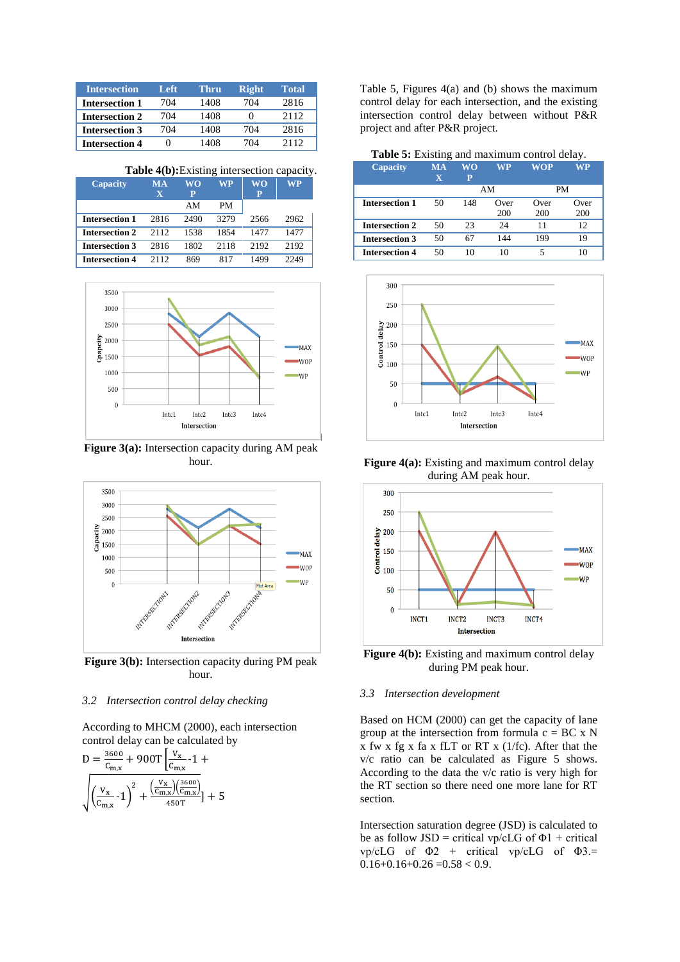| <b>Intersection</b>   | Left | Thru | <b>Right</b> | Total |
|-----------------------|------|------|--------------|-------|
| <b>Intersection 1</b> | 704  | 1408 | 704          | 2816  |
| <b>Intersection 2</b> | 704  | 1408 |              | 2112  |
| <b>Intersection 3</b> | 704  | 1408 | 704          | 2816  |
| <b>Intersection 4</b> | 0    | 1408 | 704          | 2112  |

**Table 4(b):**Existing intersection capacity.

| <b>Capacity</b>       | <b>MA</b><br>$\overline{\mathbf{x}}$ | WΟ<br>P | WP        | WO<br>P | $W\overline{\mathbf{P}}$ |
|-----------------------|--------------------------------------|---------|-----------|---------|--------------------------|
|                       |                                      | AM      | <b>PM</b> |         |                          |
| <b>Intersection 1</b> | 2816                                 | 2490    | 3279      | 2566    | 2962                     |
| <b>Intersection 2</b> | 2112                                 | 1538    | 1854      | 1477    | 1477                     |
| <b>Intersection 3</b> | 2816                                 | 1802    | 2118      | 2192    | 2192                     |
| <b>Intersection 4</b> | 2112                                 | 869     | 817       | 1499    | 2249                     |



**Figure 3(a):** Intersection capacity during AM peak hour.



**Figure 3(b):** Intersection capacity during PM peak hour.

### *3.2 Intersection control delay checking*

According to MHCM (2000), each intersection control delay can be calculated by

$$
D = \frac{3600}{C_{\text{m},x}} + 900T \left[ \frac{V_x}{C_{\text{m},x}} - 1 + \sqrt{\left( \frac{V_x}{C_{\text{m},x}} \right) \left( \frac{V_x}{C_{\text{m},x}} \right)} \right] + \sqrt{\left( \frac{V_x}{C_{\text{m},x}} - 1 \right)^2 + \frac{\left( \frac{V_x}{C_{\text{m},x}} \right) \left( \frac{3600}{C_{\text{m},x}} \right)}{450T}} + 5
$$

Table 5, Figures 4(a) and (b) shows the maximum control delay for each intersection, and the existing intersection control delay between without P&R project and after P&R project.

**Table 5:** Existing and maximum control delay.

| Capacity              | <b>MA</b><br>$\overline{\mathbf{x}}$ | WΟ<br>P | WP   | WOP  | WP   |
|-----------------------|--------------------------------------|---------|------|------|------|
|                       |                                      |         | AM   | PM   |      |
| Intersection 1        | 50                                   | 148     | Over | Over | Over |
|                       |                                      |         | 200  | 200  | 200  |
| <b>Intersection 2</b> | 50                                   | 23      | 24   | 11   | 12   |
| Intersection 3        | 50                                   | 67      | 144  | 199  | 19   |
| <b>Intersection 4</b> | 50                                   | 10      | 10   | 5    | 10   |



**Figure 4(a):** Existing and maximum control delay during AM peak hour.



**Figure 4(b):** Existing and maximum control delay during PM peak hour.

## *3.3 Intersection development*

Based on HCM (2000) can get the capacity of lane group at the intersection from formula  $c = BC \times N$  $x$  fw  $x$  fg  $x$  fa  $x$  fLT or RT  $x$  (1/fc). After that the v/c ratio can be calculated as Figure 5 shows. According to the data the v/c ratio is very high for the RT section so there need one more lane for RT section.

Intersection saturation degree (JSD) is calculated to be as follow JSD = critical vp/cLG of  $\Phi$ 1 + critical  $vp/cLG$  of  $\Phi$ 2 + critical vp/cLG of  $\Phi$ 3.=  $0.16+0.16+0.26=0.58<0.9$ .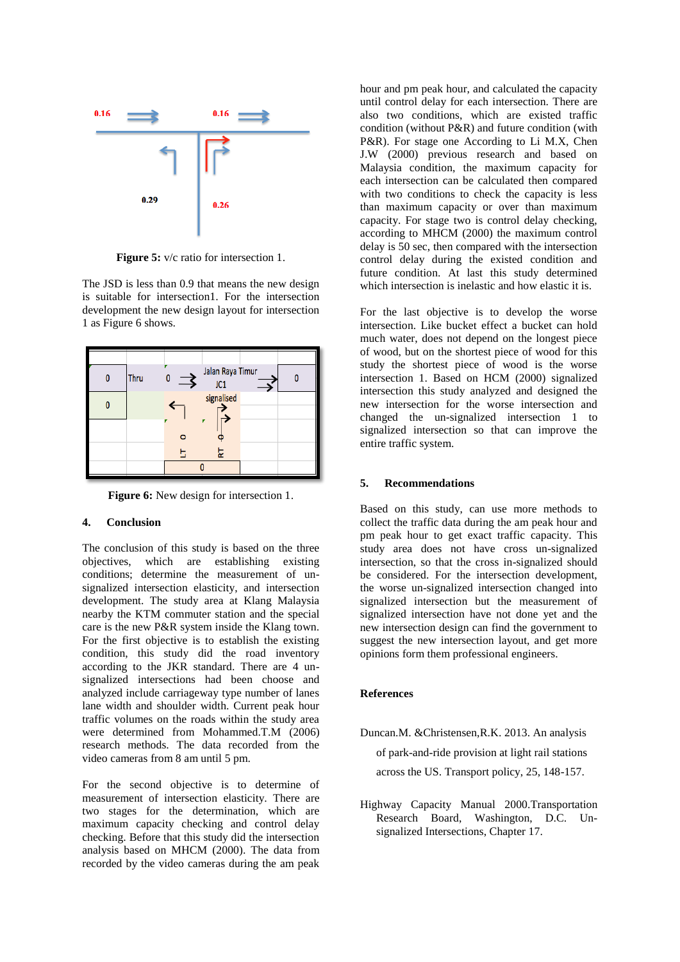

**Figure 5:**  $v/c$  ratio for intersection 1.

The JSD is less than 0.9 that means the new design is suitable for intersection1. For the intersection development the new design layout for intersection 1 as Figure 6 shows.

| Thru | U | Jalan Raya Timur<br>JC1 |  |
|------|---|-------------------------|--|
|      |   | signalised              |  |
|      |   |                         |  |
|      |   | 됴                       |  |
|      |   |                         |  |

**Figure 6:** New design for intersection 1.

## **4. Conclusion**

The conclusion of this study is based on the three objectives, which are establishing existing conditions; determine the measurement of unsignalized intersection elasticity, and intersection development. The study area at Klang Malaysia nearby the KTM commuter station and the special care is the new P&R system inside the Klang town. For the first objective is to establish the existing condition, this study did the road inventory according to the JKR standard. There are 4 unsignalized intersections had been choose and analyzed include carriageway type number of lanes lane width and shoulder width. Current peak hour traffic volumes on the roads within the study area were determined from Mohammed.T.M (2006) research methods. The data recorded from the video cameras from 8 am until 5 pm.

For the second objective is to determine of measurement of intersection elasticity. There are two stages for the determination, which are maximum capacity checking and control delay checking. Before that this study did the intersection analysis based on MHCM (2000). The data from recorded by the video cameras during the am peak

hour and pm peak hour, and calculated the capacity until control delay for each intersection. There are also two conditions, which are existed traffic condition (without P&R) and future condition (with P&R). For stage one According to Li M.X, Chen J.W (2000) previous research and based on Malaysia condition, the maximum capacity for each intersection can be calculated then compared with two conditions to check the capacity is less than maximum capacity or over than maximum capacity. For stage two is control delay checking, according to MHCM (2000) the maximum control delay is 50 sec, then compared with the intersection control delay during the existed condition and future condition. At last this study determined which intersection is inelastic and how elastic it is.

For the last objective is to develop the worse intersection. Like bucket effect a bucket can hold much water, does not depend on the longest piece of wood, but on the shortest piece of wood for this study the shortest piece of wood is the worse intersection 1. Based on HCM (2000) signalized intersection this study analyzed and designed the new intersection for the worse intersection and changed the un-signalized intersection 1 to signalized intersection so that can improve the entire traffic system.

## **5. Recommendations**

Based on this study, can use more methods to collect the traffic data during the am peak hour and pm peak hour to get exact traffic capacity. This study area does not have cross un-signalized intersection, so that the cross in-signalized should be considered. For the intersection development, the worse un-signalized intersection changed into signalized intersection but the measurement of signalized intersection have not done yet and the new intersection design can find the government to suggest the new intersection layout, and get more opinions form them professional engineers.

## **References**

- Duncan.M. &Christensen,R.K. 2013. An analysis of park-and-ride provision at light rail stations across the US. Transport policy, 25, 148-157.
- Highway Capacity Manual 2000[.Transportation](http://en.wikipedia.org/wiki/Transportation_Research_Board)  [Research Board,](http://en.wikipedia.org/wiki/Transportation_Research_Board) Washington, D.C. Unsignalized Intersections, Chapter 17.